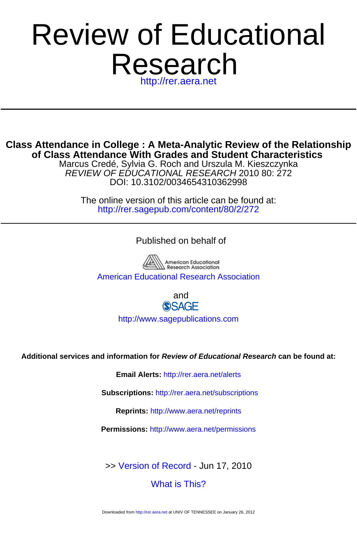# Research <http://rer.aera.net> Review of Educational

DOI: 10.3102/0034654310362998 REVIEW OF EDUCATIONAL RESEARCH 2010 80: 272 Marcus Credé, Sylvia G. Roch and Urszula M. Kieszczynka **of Class Attendance With Grades and Student Characteristics Class Attendance in College : A Meta-Analytic Review of the Relationship**

> <http://rer.sagepub.com/content/80/2/272> The online version of this article can be found at:

> > Published on behalf of



[American Educational Research Association](http://www.aera.net)



<http://www.sagepublications.com>

**Additional services and information for Review of Educational Research can be found at:**

**Email Alerts:** <http://rer.aera.net/alerts>

**Subscriptions:** <http://rer.aera.net/subscriptions>

**Reprints:** <http://www.aera.net/reprints>

**Permissions:** <http://www.aera.net/permissions>

>> [Version of Record -](http://rer.sagepub.com/content/80/2/272.full.pdf) Jun 17, 2010

[What is This?](http://online.sagepub.com/site/sphelp/vorhelp.xhtml)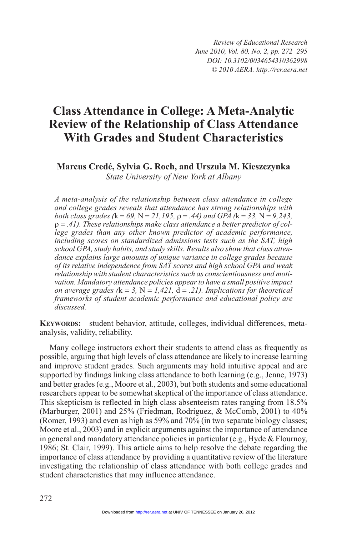*Review of Educational Research June 2010, Vol. 80, No. 2, pp. 272–295 DOI: 10.3102/0034654310362998 © 2010 AERA. http://rer.aera.net*

# **Class Attendance in College: A Meta-Analytic Review of the Relationship of Class Attendance With Grades and Student Characteristics**

**Marcus Credé, Sylvia G. Roch, and Urszula M. Kieszczynka** *State University of New York at Albany*

*A meta-analysis of the relationship between class attendance in college and college grades reveals that attendance has strong relationships with both class grades (k = 69, N = 21,195, p = .44) and GPA (k = 33, N = 9,243, \dota* r = *.41). These relationships make class attendance a better predictor of college grades than any other known predictor of academic performance, including scores on standardized admissions tests such as the SAT, high school GPA, study habits, and study skills. Results also show that class attendance explains large amounts of unique variance in college grades because of its relative independence from SAT scores and high school GPA and weak relationship with student characteristics such as conscientiousness and motivation. Mandatory attendance policies appear to have a small positive impact on average grades (k = 3, N = 1,421,*  $\hat{d}$  *= .21). Implications for theoretical frameworks of student academic performance and educational policy are discussed.*

**Keywords:** student behavior, attitude, colleges, individual differences, metaanalysis, validity, reliability.

Many college instructors exhort their students to attend class as frequently as possible, arguing that high levels of class attendance are likely to increase learning and improve student grades. Such arguments may hold intuitive appeal and are supported by findings linking class attendance to both learning (e.g., Jenne, 1973) and better grades (e.g., Moore et al., 2003), but both students and some educational researchers appear to be somewhat skeptical of the importance of class attendance. This skepticism is reflected in high class absenteeism rates ranging from 18.5% (Marburger, 2001) and 25% (Friedman, Rodriguez, & McComb, 2001) to 40% (Romer, 1993) and even as high as 59% and 70% (in two separate biology classes; Moore et al., 2003) and in explicit arguments against the importance of attendance in general and mandatory attendance policies in particular (e.g., Hyde & Flournoy, 1986; St. Clair, 1999). This article aims to help resolve the debate regarding the importance of class attendance by providing a quantitative review of the literature investigating the relationship of class attendance with both college grades and student characteristics that may influence attendance.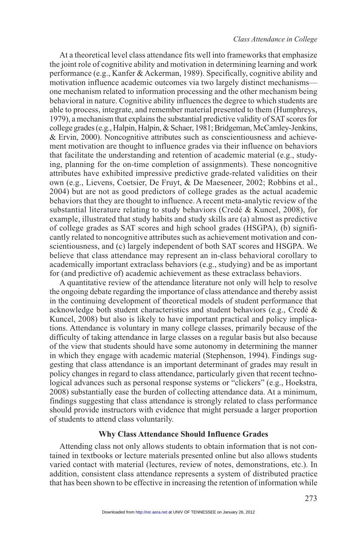At a theoretical level class attendance fits well into frameworks that emphasize the joint role of cognitive ability and motivation in determining learning and work performance (e.g., Kanfer & Ackerman, 1989). Specifically, cognitive ability and motivation influence academic outcomes via two largely distinct mechanisms one mechanism related to information processing and the other mechanism being behavioral in nature. Cognitive ability influences the degree to which students are able to process, integrate, and remember material presented to them (Humphreys, 1979), a mechanism that explains the substantial predictive validity of SAT scores for college grades (e.g., Halpin, Halpin, & Schaer, 1981; Bridgeman, McCamley-Jenkins, & Ervin, 2000). Noncognitive attributes such as conscientiousness and achievement motivation are thought to influence grades via their influence on behaviors that facilitate the understanding and retention of academic material (e.g., studying, planning for the on-time completion of assignments). These noncognitive attributes have exhibited impressive predictive grade-related validities on their own (e.g., Lievens, Coetsier, De Fruyt, & De Maeseneer, 2002; Robbins et al., 2004) but are not as good predictors of college grades as the actual academic behaviors that they are thought to influence. A recent meta-analytic review of the substantial literature relating to study behaviors (Credé & Kuncel, 2008), for example, illustrated that study habits and study skills are (a) almost as predictive of college grades as SAT scores and high school grades (HSGPA), (b) significantly related to noncognitive attributes such as achievement motivation and conscientiousness, and (c) largely independent of both SAT scores and HSGPA. We believe that class attendance may represent an in-class behavioral corollary to academically important extraclass behaviors (e.g., studying) and be as important for (and predictive of) academic achievement as these extraclass behaviors.

A quantitative review of the attendance literature not only will help to resolve the ongoing debate regarding the importance of class attendance and thereby assist in the continuing development of theoretical models of student performance that acknowledge both student characteristics and student behaviors (e.g., Credé & Kuncel, 2008) but also is likely to have important practical and policy implications. Attendance is voluntary in many college classes, primarily because of the difficulty of taking attendance in large classes on a regular basis but also because of the view that students should have some autonomy in determining the manner in which they engage with academic material (Stephenson, 1994). Findings suggesting that class attendance is an important determinant of grades may result in policy changes in regard to class attendance, particularly given that recent technological advances such as personal response systems or "clickers" (e.g., Hoekstra, 2008) substantially ease the burden of collecting attendance data. At a minimum, findings suggesting that class attendance is strongly related to class performance should provide instructors with evidence that might persuade a larger proportion of students to attend class voluntarily.

#### **Why Class Attendance Should Influence Grades**

Attending class not only allows students to obtain information that is not contained in textbooks or lecture materials presented online but also allows students varied contact with material (lectures, review of notes, demonstrations, etc.). In addition, consistent class attendance represents a system of distributed practice that has been shown to be effective in increasing the retention of information while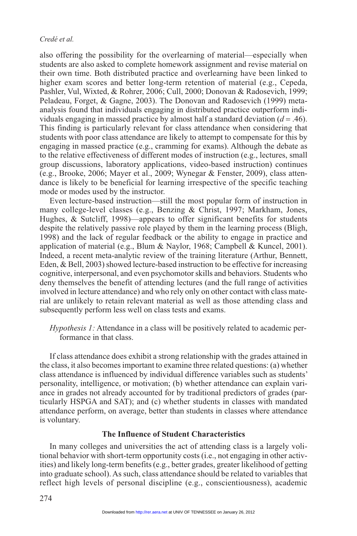#### *Credé et al.*

also offering the possibility for the overlearning of material—especially when students are also asked to complete homework assignment and revise material on their own time. Both distributed practice and overlearning have been linked to higher exam scores and better long-term retention of material (e.g., Cepeda, Pashler, Vul, Wixted, & Rohrer, 2006; Cull, 2000; Donovan & Radosevich, 1999; Peladeau, Forget, & Gagne, 2003). The Donovan and Radosevich (1999) metaanalysis found that individuals engaging in distributed practice outperform individuals engaging in massed practice by almost half a standard deviation  $(d = .46)$ . This finding is particularly relevant for class attendance when considering that students with poor class attendance are likely to attempt to compensate for this by engaging in massed practice (e.g., cramming for exams). Although the debate as to the relative effectiveness of different modes of instruction (e.g., lectures, small group discussions, laboratory applications, video-based instruction) continues (e.g., Brooke, 2006; Mayer et al., 2009; Wynegar & Fenster, 2009), class attendance is likely to be beneficial for learning irrespective of the specific teaching mode or modes used by the instructor.

Even lecture-based instruction—still the most popular form of instruction in many college-level classes (e.g., Benzing & Christ, 1997; Markham, Jones, Hughes, & Sutcliff, 1998)—appears to offer significant benefits for students despite the relatively passive role played by them in the learning process (Bligh, 1998) and the lack of regular feedback or the ability to engage in practice and application of material (e.g., Blum & Naylor, 1968; Campbell & Kuncel, 2001). Indeed, a recent meta-analytic review of the training literature (Arthur, Bennett, Eden, & Bell, 2003) showed lecture-based instruction to be effective for increasing cognitive, interpersonal, and even psychomotor skills and behaviors. Students who deny themselves the benefit of attending lectures (and the full range of activities involved in lecture attendance) and who rely only on other contact with class material are unlikely to retain relevant material as well as those attending class and subsequently perform less well on class tests and exams.

*Hypothesis 1:* Attendance in a class will be positively related to academic performance in that class.

If class attendance does exhibit a strong relationship with the grades attained in the class, it also becomes important to examine three related questions: (a) whether class attendance is influenced by individual difference variables such as students' personality, intelligence, or motivation; (b) whether attendance can explain variance in grades not already accounted for by traditional predictors of grades (particularly HSPGA and SAT); and (c) whether students in classes with mandated attendance perform, on average, better than students in classes where attendance is voluntary.

# **The Influence of Student Characteristics**

In many colleges and universities the act of attending class is a largely volitional behavior with short-term opportunity costs (i.e., not engaging in other activities) and likely long-term benefits (e.g., better grades, greater likelihood of getting into graduate school). As such, class attendance should be related to variables that reflect high levels of personal discipline (e.g., conscientiousness), academic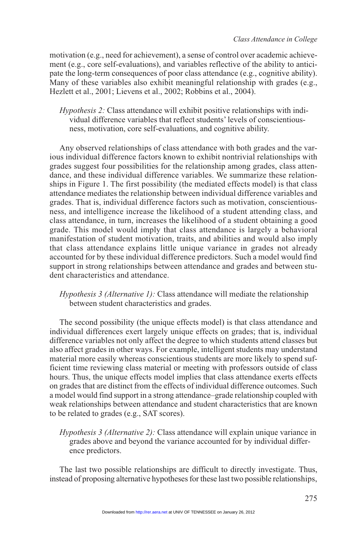motivation (e.g., need for achievement), a sense of control over academic achievement (e.g., core self-evaluations), and variables reflective of the ability to anticipate the long-term consequences of poor class attendance (e.g., cognitive ability). Many of these variables also exhibit meaningful relationship with grades (e.g., Hezlett et al., 2001; Lievens et al., 2002; Robbins et al., 2004).

*Hypothesis 2:* Class attendance will exhibit positive relationships with individual difference variables that reflect students' levels of conscientiousness, motivation, core self-evaluations, and cognitive ability.

Any observed relationships of class attendance with both grades and the various individual difference factors known to exhibit nontrivial relationships with grades suggest four possibilities for the relationship among grades, class attendance, and these individual difference variables. We summarize these relationships in Figure 1. The first possibility (the mediated effects model) is that class attendance mediates the relationship between individual difference variables and grades. That is, individual difference factors such as motivation, conscientiousness, and intelligence increase the likelihood of a student attending class, and class attendance, in turn, increases the likelihood of a student obtaining a good grade. This model would imply that class attendance is largely a behavioral manifestation of student motivation, traits, and abilities and would also imply that class attendance explains little unique variance in grades not already accounted for by these individual difference predictors. Such a model would find support in strong relationships between attendance and grades and between student characteristics and attendance.

*Hypothesis 3 (Alternative 1):* Class attendance will mediate the relationship between student characteristics and grades.

The second possibility (the unique effects model) is that class attendance and individual differences exert largely unique effects on grades; that is, individual difference variables not only affect the degree to which students attend classes but also affect grades in other ways. For example, intelligent students may understand material more easily whereas conscientious students are more likely to spend sufficient time reviewing class material or meeting with professors outside of class hours. Thus, the unique effects model implies that class attendance exerts effects on grades that are distinct from the effects of individual difference outcomes. Such a model would find support in a strong attendance–grade relationship coupled with weak relationships between attendance and student characteristics that are known to be related to grades (e.g., SAT scores).

*Hypothesis 3 (Alternative 2):* Class attendance will explain unique variance in grades above and beyond the variance accounted for by individual difference predictors.

The last two possible relationships are difficult to directly investigate. Thus, instead of proposing alternative hypotheses for these last two possible relationships,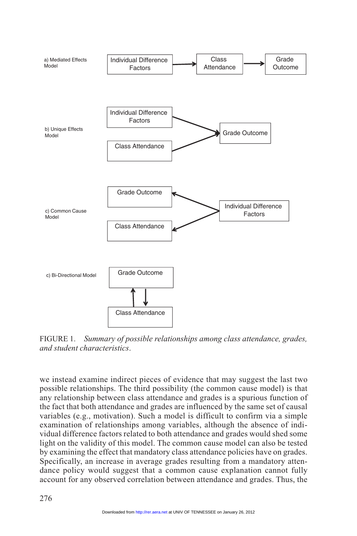

FIGURE 1. *Summary of possible relationships among class attendance, grades, and student characteristics*.

we instead examine indirect pieces of evidence that may suggest the last two possible relationships. The third possibility (the common cause model) is that any relationship between class attendance and grades is a spurious function of the fact that both attendance and grades are influenced by the same set of causal variables (e.g., motivation). Such a model is difficult to confirm via a simple examination of relationships among variables, although the absence of individual difference factors related to both attendance and grades would shed some light on the validity of this model. The common cause model can also be tested by examining the effect that mandatory class attendance policies have on grades. Specifically, an increase in average grades resulting from a mandatory attendance policy would suggest that a common cause explanation cannot fully account for any observed correlation between attendance and grades. Thus, the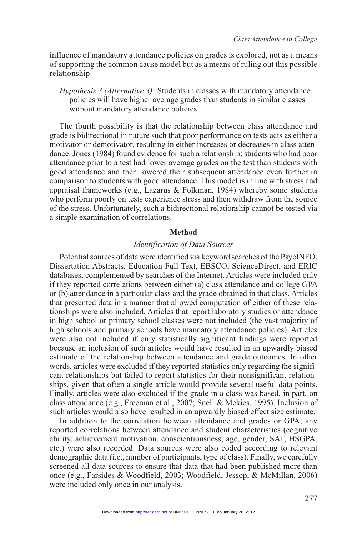influence of mandatory attendance policies on grades is explored, not as a means of supporting the common cause model but as a means of ruling out this possible relationship.

*Hypothesis 3 (Alternative 3):* Students in classes with mandatory attendance policies will have higher average grades than students in similar classes without mandatory attendance policies.

The fourth possibility is that the relationship between class attendance and grade is bidirectional in nature such that poor performance on tests acts as either a motivator or demotivator, resulting in either increases or decreases in class attendance. Jones (1984) found evidence for such a relationship; students who had poor attendance prior to a test had lower average grades on the test than students with good attendance and then lowered their subsequent attendance even further in comparison to students with good attendance. This model is in line with stress and appraisal frameworks (e.g., Lazarus & Folkman, 1984) whereby some students who perform poorly on tests experience stress and then withdraw from the source of the stress. Unfortunately, such a bidirectional relationship cannot be tested via a simple examination of correlations.

#### **Method**

# *Identification of Data Sources*

Potential sources of data were identified via keyword searches of the PsycINFO, Dissertation Abstracts, Education Full Text, EBSCO, ScienceDirect, and ERIC databases, complemented by searches of the Internet. Articles were included only if they reported correlations between either (a) class attendance and college GPA or (b) attendance in a particular class and the grade obtained in that class. Articles that presented data in a manner that allowed computation of either of these relationships were also included. Articles that report laboratory studies or attendance in high school or primary school classes were not included (the vast majority of high schools and primary schools have mandatory attendance policies). Articles were also not included if only statistically significant findings were reported because an inclusion of such articles would have resulted in an upwardly biased estimate of the relationship between attendance and grade outcomes. In other words, articles were excluded if they reported statistics only regarding the significant relationships but failed to report statistics for their nonsignificant relationships, given that often a single article would provide several useful data points. Finally, articles were also excluded if the grade in a class was based, in part, on class attendance (e.g., Freeman et al., 2007; Snell & Mekies, 1995). Inclusion of such articles would also have resulted in an upwardly biased effect size estimate.

In addition to the correlation between attendance and grades or GPA, any reported correlations between attendance and student characteristics (cognitive ability, achievement motivation, conscientiousness, age, gender, SAT, HSGPA, etc.) were also recorded. Data sources were also coded according to relevant demographic data (i.e., number of participants, type of class). Finally, we carefully screened all data sources to ensure that data that had been published more than once (e.g., Farsides & Woodfield, 2003; Woodfield, Jessop, & McMillan, 2006) were included only once in our analysis.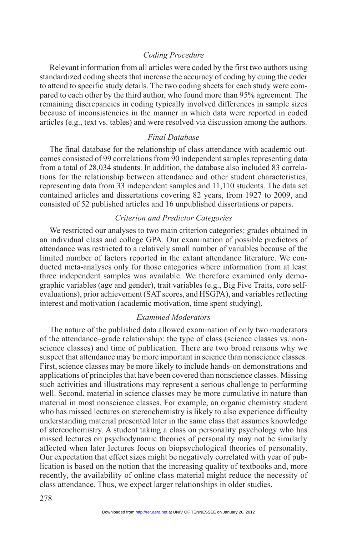# *Coding Procedure*

Relevant information from all articles were coded by the first two authors using standardized coding sheets that increase the accuracy of coding by cuing the coder to attend to specific study details. The two coding sheets for each study were compared to each other by the third author, who found more than 95% agreement. The remaining discrepancies in coding typically involved differences in sample sizes because of inconsistencies in the manner in which data were reported in coded articles (e.g., text vs. tables) and were resolved via discussion among the authors.

# *Final Database*

The final database for the relationship of class attendance with academic outcomes consisted of 99 correlations from 90 independent samples representing data from a total of 28,034 students. In addition, the database also included 83 correlations for the relationship between attendance and other student characteristics, representing data from 33 independent samples and 11,110 students. The data set contained articles and dissertations covering 82 years, from 1927 to 2009, and consisted of 52 published articles and 16 unpublished dissertations or papers.

#### *Criterion and Predictor Categories*

We restricted our analyses to two main criterion categories: grades obtained in an individual class and college GPA. Our examination of possible predictors of attendance was restricted to a relatively small number of variables because of the limited number of factors reported in the extant attendance literature. We conducted meta-analyses only for those categories where information from at least three independent samples was available. We therefore examined only demographic variables (age and gender), trait variables (e.g., Big Five Traits, core selfevaluations), prior achievement (SAT scores, and HSGPA), and variables reflecting interest and motivation (academic motivation, time spent studying).

# *Examined Moderators*

The nature of the published data allowed examination of only two moderators of the attendance–grade relationship: the type of class (science classes vs. nonscience classes) and time of publication. There are two broad reasons why we suspect that attendance may be more important in science than nonscience classes. First, science classes may be more likely to include hands-on demonstrations and applications of principles that have been covered than nonscience classes. Missing such activities and illustrations may represent a serious challenge to performing well. Second, material in science classes may be more cumulative in nature than material in most nonscience classes. For example, an organic chemistry student who has missed lectures on stereochemistry is likely to also experience difficulty understanding material presented later in the same class that assumes knowledge of stereochemistry. A student taking a class on personality psychology who has missed lectures on psychodynamic theories of personality may not be similarly affected when later lectures focus on biopsychological theories of personality. Our expectation that effect sizes might be negatively correlated with year of publication is based on the notion that the increasing quality of textbooks and, more recently, the availability of online class material might reduce the necessity of class attendance. Thus, we expect larger relationships in older studies.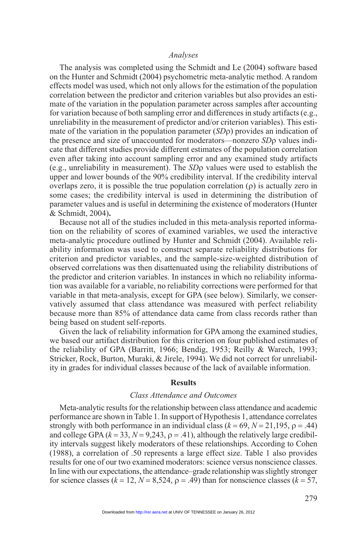#### *Analyses*

The analysis was completed using the Schmidt and Le (2004) software based on the Hunter and Schmidt (2004) psychometric meta-analytic method. A random effects model was used, which not only allows for the estimation of the population correlation between the predictor and criterion variables but also provides an estimate of the variation in the population parameter across samples after accounting for variation because of both sampling error and differences in study artifacts (e.g., unreliability in the measurement of predictor and/or criterion variables). This estimate of the variation in the population parameter (*SD*r) provides an indication of the presence and size of unaccounted for moderators—nonzero *SD*<sub>p</sub> values indicate that different studies provide different estimates of the population correlation even after taking into account sampling error and any examined study artifacts (e.g., unreliability in measurement). The *SD* $\rho$  values were used to establish the upper and lower bounds of the 90% credibility interval. If the credibility interval overlaps zero, it is possible the true population correlation  $(\rho)$  is actually zero in some cases; the credibility interval is used in determining the distribution of parameter values and is useful in determining the existence of moderators (Hunter & Schmidt, 2004)**.**

Because not all of the studies included in this meta-analysis reported information on the reliability of scores of examined variables, we used the interactive meta-analytic procedure outlined by Hunter and Schmidt (2004). Available reliability information was used to construct separate reliability distributions for criterion and predictor variables, and the sample-size-weighted distribution of observed correlations was then disattenuated using the reliability distributions of the predictor and criterion variables. In instances in which no reliability information was available for a variable, no reliability corrections were performed for that variable in that meta-analysis, except for GPA (see below). Similarly, we conservatively assumed that class attendance was measured with perfect reliability because more than 85% of attendance data came from class records rather than being based on student self-reports.

Given the lack of reliability information for GPA among the examined studies, we based our artifact distribution for this criterion on four published estimates of the reliability of GPA (Barritt, 1966; Bendig, 1953; Reilly & Warech, 1993; Stricker, Rock, Burton, Muraki, & Jirele, 1994). We did not correct for unreliability in grades for individual classes because of the lack of available information.

#### **Results**

#### *Class Attendance and Outcomes*

Meta-analytic results for the relationship between class attendance and academic performance are shown in Table 1. In support of Hypothesis 1, attendance correlates strongly with both performance in an individual class  $(k = 69, N = 21,195, \rho = .44)$ and college GPA  $(k = 33, N = 9,243, \rho = .41)$ , although the relatively large credibility intervals suggest likely moderators of these relationships. According to Cohen (1988), a correlation of .50 represents a large effect size. Table 1 also provides results for one of our two examined moderators: science versus nonscience classes. In line with our expectations, the attendance–grade relationship was slightly stronger for science classes  $(k = 12, N = 8,524, \rho = .49)$  than for nonscience classes  $(k = 57,$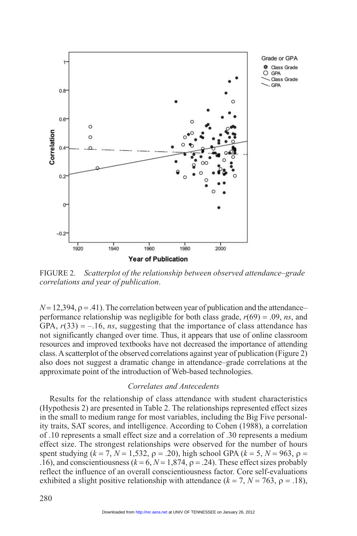

FIGURE 2. *Scatterplot of the relationship between observed attendance–grade correlations and year of publication*.

 $N= 12,394, \rho = .41$ ). The correlation between year of publication and the attendance– performance relationship was negligible for both class grade,  $r(69) = .09$ , *ns*, and GPA,  $r(33) = -16$ , *ns*, suggesting that the importance of class attendance has not significantly changed over time. Thus, it appears that use of online classroom resources and improved textbooks have not decreased the importance of attending class. A scatterplot of the observed correlations against year of publication (Figure 2) also does not suggest a dramatic change in attendance–grade correlations at the approximate point of the introduction of Web-based technologies.

# *Correlates and Antecedents*

Results for the relationship of class attendance with student characteristics (Hypothesis 2) are presented in Table 2. The relationships represented effect sizes in the small to medium range for most variables, including the Big Five personality traits, SAT scores, and intelligence. According to Cohen (1988), a correlation of .10 represents a small effect size and a correlation of .30 represents a medium effect size. The strongest relationships were observed for the number of hours spent studying  $(k = 7, N = 1,532, \rho = .20)$ , high school GPA  $(k = 5, N = 963, \rho = .20)$ .16), and conscientiousness ( $k = 6$ ,  $N = 1,874$ ,  $\rho = .24$ ). These effect sizes probably reflect the influence of an overall conscientiousness factor. Core self-evaluations exhibited a slight positive relationship with attendance  $(k = 7, N = 763, \rho = .18)$ ,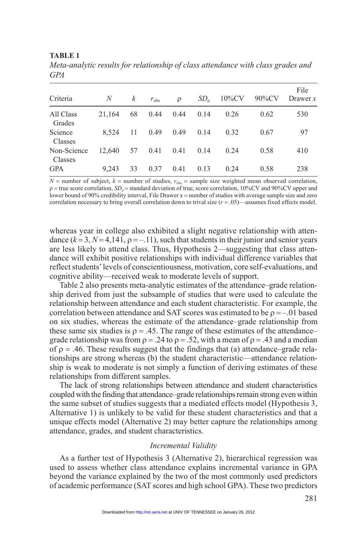| Criteria               | N      | k  | $r_{\rm obs}$ | $\rho$ | $SD_{\alpha}$ | $10\%$ CV | $90\%$ CV | File<br>Drawer $x$ |
|------------------------|--------|----|---------------|--------|---------------|-----------|-----------|--------------------|
| All Class<br>Grades    | 21.164 | 68 | 0.44          | 0.44   | 0.14          | 0.26      | 0.62      | 530                |
| Science<br>Classes     | 8.524  | 11 | 0.49          | 0.49   | 0.14          | 0.32      | 0.67      | 97                 |
| Non-Science<br>Classes | 12.640 | 57 | 0.41          | 0.41   | 0.14          | 0.24      | 0.58      | 410                |
| <b>GPA</b>             | 9.243  | 33 | 0.37          | 0.41   | 0.13          | 0.24      | 0.58      | 238                |

*Meta-analytic results for relationship of class attendance with class grades and GPA*

**TABLE 1**

 $N =$  number of subject,  $k =$  number of studies,  $r_{obs} =$  sample size weighted mean observed correlation,  $\rho$  = true score correlation, *SD*<sub>0</sub> = standard deviation of true, score correlation, 10%CV and 90%CV upper and lower bound of 90% credibility interval, File Drawer x = number of studies with average sample size and zero correlation necessary to bring overall correlation down to trival size (*r* = .05)—assumes fixed effects model.

whereas year in college also exhibited a slight negative relationship with attendance  $(k=3, N=4, 141, \rho = -.11)$ , such that students in their junior and senior years are less likely to attend class. Thus, Hypothesis 2—suggesting that class attendance will exhibit positive relationships with individual difference variables that reflect students' levels of conscientiousness, motivation, core self-evaluations, and cognitive ability—received weak to moderate levels of support.

Table 2 also presents meta-analytic estimates of the attendance–grade relationship derived from just the subsample of studies that were used to calculate the relationship between attendance and each student characteristic. For example, the correlation between attendance and SAT scores was estimated to be  $\rho = -0.01$  based on six studies, whereas the estimate of the attendance–grade relationship from these same six studies is  $\rho = 0.45$ . The range of these estimates of the attendance– grade relationship was from  $\rho = .24$  to  $\rho = .52$ , with a mean of  $\rho = .43$  and a median of  $\rho = .46$ . These results suggest that the findings that (a) attendance–grade relationships are strong whereas (b) the student characteristic—attendance relationship is weak to moderate is not simply a function of deriving estimates of these relationships from different samples.

The lack of strong relationships between attendance and student characteristics coupled with the finding that attendance–grade relationships remain strong even within the same subset of studies suggests that a mediated effects model (Hypothesis 3, Alternative 1) is unlikely to be valid for these student characteristics and that a unique effects model (Alternative 2) may better capture the relationships among attendance, grades, and student characteristics.

#### *Incremental Validity*

As a further test of Hypothesis 3 (Alternative 2), hierarchical regression was used to assess whether class attendance explains incremental variance in GPA beyond the variance explained by the two of the most commonly used predictors of academic performance (SAT scores and high school GPA). These two predictors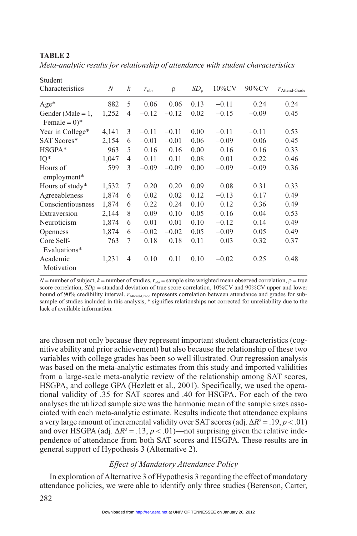| Student                                           |       |                |               |         |                 |           |           |                           |  |
|---------------------------------------------------|-------|----------------|---------------|---------|-----------------|-----------|-----------|---------------------------|--|
| Characteristics                                   | N     | k              | $r_{\rm obs}$ | $\rho$  | SD <sub>o</sub> | $10\%$ CV | $90\%$ CV | $r_{\text{Attend-Grade}}$ |  |
| Age*                                              | 882   | 5              | 0.06          | 0.06    | 0.13            | $-0.11$   | 0.24      | 0.24                      |  |
| Gender (Male = $1$ ,<br>Female = $0$ <sup>*</sup> | 1,252 | $\overline{4}$ | $-0.12$       | $-0.12$ | 0.02            | $-0.15$   | $-0.09$   | 0.45                      |  |
| Year in College*                                  | 4,141 | 3              | $-0.11$       | $-0.11$ | 0.00            | $-0.11$   | $-0.11$   | 0.53                      |  |
| <b>SAT Scores*</b>                                | 2,154 | 6              | $-0.01$       | $-0.01$ | 0.06            | $-0.09$   | 0.06      | 0.45                      |  |
| HSGPA*                                            | 963   | 5              | 0.16          | 0.16    | 0.00            | 0.16      | 0.16      | 0.33                      |  |
| $IQ*$                                             | 1,047 | $\overline{4}$ | 0.11          | 0.11    | 0.08            | 0.01      | 0.22      | 0.46                      |  |
| Hours of<br>employment*                           | 599   | 3              | $-0.09$       | $-0.09$ | 0.00            | $-0.09$   | $-0.09$   | 0.36                      |  |
| Hours of study*                                   | 1,532 | 7              | 0.20          | 0.20    | 0.09            | 0.08      | 0.31      | 0.33                      |  |
| Agreeableness                                     | 1,874 | 6              | 0.02          | 0.02    | 0.12            | $-0.13$   | 0.17      | 0.49                      |  |
| Conscientiousness                                 | 1,874 | 6              | 0.22          | 0.24    | 0.10            | 0.12      | 0.36      | 0.49                      |  |
| Extraversion                                      | 2,144 | 8              | $-0.09$       | $-0.10$ | 0.05            | $-0.16$   | $-0.04$   | 0.53                      |  |
| Neuroticism                                       | 1,874 | 6              | 0.01          | 0.01    | 0.10            | $-0.12$   | 0.14      | 0.49                      |  |
| <b>Openness</b>                                   | 1,874 | 6              | $-0.02$       | $-0.02$ | 0.05            | $-0.09$   | 0.05      | 0.49                      |  |
| Core Self-<br>Evaluations*                        | 763   | 7              | 0.18          | 0.18    | 0.11            | 0.03      | 0.32      | 0.37                      |  |
| Academic<br>Motivation                            | 1,231 | 4              | 0.10          | 0.11    | 0.10            | $-0.02$   | 0.25      | 0.48                      |  |

*Meta-analytic results for relationship of attendance with student characteristics*

 $N$  = number of subject,  $k$  = number of studies,  $r_{obs}$  = sample size weighted mean observed correlation,  $\rho$  = true score correlation,  $SD\rho$  = standard deviation of true score correlation,  $10\%$ CV and  $90\%$ CV upper and lower bound of 90% credibility interval. *r*<sub>Attend-Grade</sub> represents correlation between attendance and grades for subsample of studies included in this analysis, \* signifies relationships not corrected for unreliability due to the lack of available information.

are chosen not only because they represent important student characteristics (cognitive ability and prior achievement) but also because the relationship of these two variables with college grades has been so well illustrated. Our regression analysis was based on the meta-analytic estimates from this study and imported validities from a large-scale meta-analytic review of the relationship among SAT scores, HSGPA, and college GPA (Hezlett et al., 2001). Specifically, we used the operational validity of .35 for SAT scores and .40 for HSGPA. For each of the two analyses the utilized sample size was the harmonic mean of the sample sizes associated with each meta-analytic estimate. Results indicate that attendance explains a very large amount of incremental validity over SAT scores (adj.  $\Delta R^2 = .19, p < .01$ ) and over HSGPA (adj.  $\Delta R^2 = .13$ ,  $p < .01$ )—not surprising given the relative independence of attendance from both SAT scores and HSGPA. These results are in general support of Hypothesis 3 (Alternative 2).

# *Effect of Mandatory Attendance Policy*

In exploration of Alternative 3 of Hypothesis 3 regarding the effect of mandatory attendance policies, we were able to identify only three studies (Berenson, Carter,

**TABLE 2**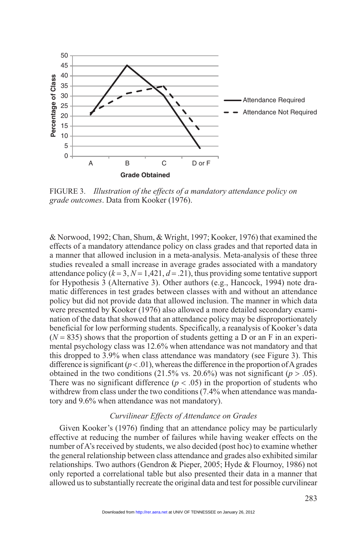

FIGURE 3. *Illustration of the effects of a mandatory attendance policy on grade outcomes*. Data from Kooker (1976).

& Norwood, 1992; Chan, Shum, & Wright, 1997; Kooker, 1976) that examined the effects of a mandatory attendance policy on class grades and that reported data in a manner that allowed inclusion in a meta-analysis. Meta-analysis of these three studies revealed a small increase in average grades associated with a mandatory attendance policy  $(k = 3, N = 1,421, d = .21)$ , thus providing some tentative support for Hypothesis 3 (Alternative 3). Other authors (e.g., Hancock, 1994) note dramatic differences in test grades between classes with and without an attendance policy but did not provide data that allowed inclusion. The manner in which data were presented by Kooker (1976) also allowed a more detailed secondary examination of the data that showed that an attendance policy may be disproportionately beneficial for low performing students. Specifically, a reanalysis of Kooker's data  $(N = 835)$  shows that the proportion of students getting a D or an F in an experimental psychology class was 12.6% when attendance was not mandatory and that this dropped to 3.9% when class attendance was mandatory (see Figure 3). This difference is significant  $(p < .01)$ , whereas the difference in the proportion of A grades obtained in the two conditions  $(21.5\% \text{ vs. } 20.6\%)$  was not significant  $(p > .05)$ . There was no significant difference  $(p < .05)$  in the proportion of students who withdrew from class under the two conditions (7.4% when attendance was mandatory and 9.6% when attendance was not mandatory).

# *Curvilinear Effects of Attendance on Grades*

Given Kooker's (1976) finding that an attendance policy may be particularly effective at reducing the number of failures while having weaker effects on the number of A's received by students, we also decided (post hoc) to examine whether the general relationship between class attendance and grades also exhibited similar relationships. Two authors (Gendron & Pieper, 2005; Hyde & Flournoy, 1986) not only reported a correlational table but also presented their data in a manner that allowed us to substantially recreate the original data and test for possible curvilinear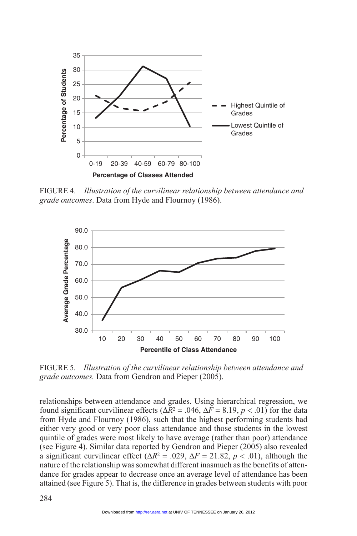

FIGURE 4. *Illustration of the curvilinear relationship between attendance and grade outcomes*. Data from Hyde and Flournoy (1986).



FIGURE 5. *Illustration of the curvilinear relationship between attendance and grade outcomes.* Data from Gendron and Pieper (2005).

relationships between attendance and grades. Using hierarchical regression, we found significant curvilinear effects ( $\Delta R^2$  = .046,  $\Delta F$  = 8.19, *p* < .01) for the data from Hyde and Flournoy (1986), such that the highest performing students had either very good or very poor class attendance and those students in the lowest quintile of grades were most likely to have average (rather than poor) attendance (see Figure 4). Similar data reported by Gendron and Pieper (2005) also revealed a significant curvilinear effect ( $\Delta R^2 = .029$ ,  $\Delta F = 21.82$ ,  $p < .01$ ), although the nature of the relationship was somewhat different inasmuch as the benefits of attendance for grades appear to decrease once an average level of attendance has been attained (see Figure 5). That is, the difference in grades between students with poor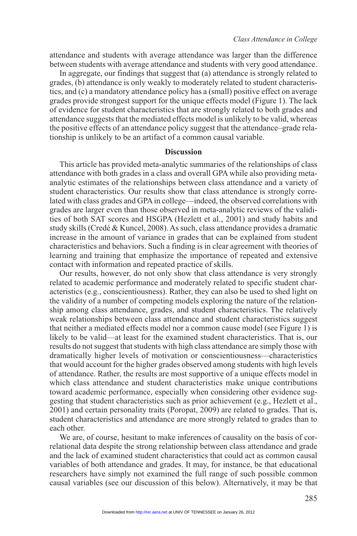attendance and students with average attendance was larger than the difference between students with average attendance and students with very good attendance.

In aggregate, our findings that suggest that (a) attendance is strongly related to grades, (b) attendance is only weakly to moderately related to student characteristics, and (c) a mandatory attendance policy has a (small) positive effect on average grades provide strongest support for the unique effects model (Figure 1). The lack of evidence for student characteristics that are strongly related to both grades and attendance suggests that the mediated effects model is unlikely to be valid, whereas the positive effects of an attendance policy suggest that the attendance–grade relationship is unlikely to be an artifact of a common causal variable.

#### **Discussion**

This article has provided meta-analytic summaries of the relationships of class attendance with both grades in a class and overall GPA while also providing metaanalytic estimates of the relationships between class attendance and a variety of student characteristics. Our results show that class attendance is strongly correlated with class grades and GPA in college—indeed, the observed correlations with grades are larger even than those observed in meta-analytic reviews of the validities of both SAT scores and HSGPA (Hezlett et al., 2001) and study habits and study skills (Credé & Kuncel, 2008). As such, class attendance provides a dramatic increase in the amount of variance in grades that can be explained from student characteristics and behaviors. Such a finding is in clear agreement with theories of learning and training that emphasize the importance of repeated and extensive contact with information and repeated practice of skills.

Our results, however, do not only show that class attendance is very strongly related to academic performance and moderately related to specific student characteristics (e.g., conscientiousness). Rather, they can also be used to shed light on the validity of a number of competing models exploring the nature of the relationship among class attendance, grades, and student characteristics. The relatively weak relationships between class attendance and student characteristics suggest that neither a mediated effects model nor a common cause model (see Figure 1) is likely to be valid—at least for the examined student characteristics. That is, our results do not suggest that students with high class attendance are simply those with dramatically higher levels of motivation or conscientiousness—characteristics that would account for the higher grades observed among students with high levels of attendance. Rather, the results are most supportive of a unique effects model in which class attendance and student characteristics make unique contributions toward academic performance, especially when considering other evidence suggesting that student characteristics such as prior achievement (e.g., Hezlett et al., 2001) and certain personality traits (Poropat, 2009) are related to grades. That is, student characteristics and attendance are more strongly related to grades than to each other.

We are, of course, hesitant to make inferences of causality on the basis of correlational data despite the strong relationship between class attendance and grade and the lack of examined student characteristics that could act as common causal variables of both attendance and grades. It may, for instance, be that educational researchers have simply not examined the full range of such possible common causal variables (see our discussion of this below). Alternatively, it may be that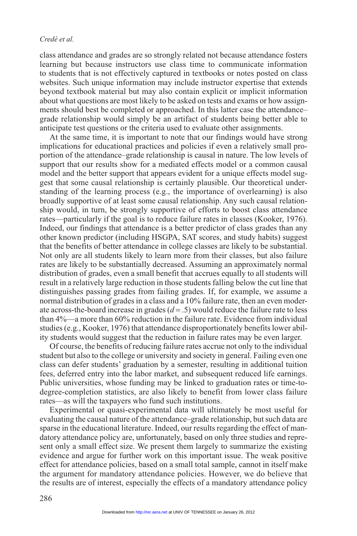#### *Credé et al.*

class attendance and grades are so strongly related not because attendance fosters learning but because instructors use class time to communicate information to students that is not effectively captured in textbooks or notes posted on class websites. Such unique information may include instructor expertise that extends beyond textbook material but may also contain explicit or implicit information about what questions are most likely to be asked on tests and exams or how assignments should best be completed or approached. In this latter case the attendance– grade relationship would simply be an artifact of students being better able to anticipate test questions or the criteria used to evaluate other assignments.

At the same time, it is important to note that our findings would have strong implications for educational practices and policies if even a relatively small proportion of the attendance–grade relationship is causal in nature. The low levels of support that our results show for a mediated effects model or a common causal model and the better support that appears evident for a unique effects model suggest that some causal relationship is certainly plausible. Our theoretical understanding of the learning process (e.g., the importance of overlearning) is also broadly supportive of at least some causal relationship. Any such causal relationship would, in turn, be strongly supportive of efforts to boost class attendance rates—particularly if the goal is to reduce failure rates in classes (Kooker, 1976). Indeed, our findings that attendance is a better predictor of class grades than any other known predictor (including HSGPA, SAT scores, and study habits) suggest that the benefits of better attendance in college classes are likely to be substantial. Not only are all students likely to learn more from their classes, but also failure rates are likely to be substantially decreased. Assuming an approximately normal distribution of grades, even a small benefit that accrues equally to all students will result in a relatively large reduction in those students falling below the cut line that distinguishes passing grades from failing grades. If, for example, we assume a normal distribution of grades in a class and a 10% failure rate, then an even moderate across-the-board increase in grades  $(d = .5)$  would reduce the failure rate to less than 4%—a more than 60% reduction in the failure rate. Evidence from individual studies (e.g., Kooker, 1976) that attendance disproportionately benefits lower ability students would suggest that the reduction in failure rates may be even larger.

Of course, the benefits of reducing failure rates accrue not only to the individual student but also to the college or university and society in general. Failing even one class can defer students' graduation by a semester, resulting in additional tuition fees, deferred entry into the labor market, and subsequent reduced life earnings. Public universities, whose funding may be linked to graduation rates or time-todegree-completion statistics, are also likely to benefit from lower class failure rates—as will the taxpayers who fund such institutions.

Experimental or quasi-experimental data will ultimately be most useful for evaluating the causal nature of the attendance–grade relationship, but such data are sparse in the educational literature. Indeed, our results regarding the effect of mandatory attendance policy are, unfortunately, based on only three studies and represent only a small effect size. We present them largely to summarize the existing evidence and argue for further work on this important issue. The weak positive effect for attendance policies, based on a small total sample, cannot in itself make the argument for mandatory attendance policies. However, we do believe that the results are of interest, especially the effects of a mandatory attendance policy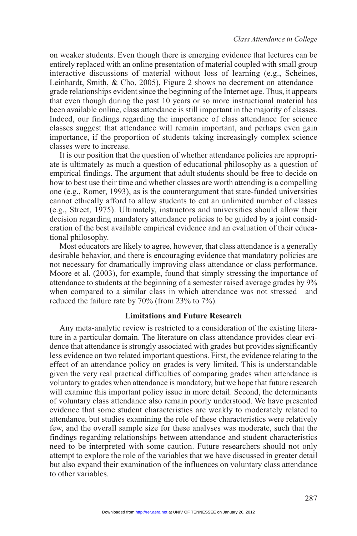on weaker students. Even though there is emerging evidence that lectures can be entirely replaced with an online presentation of material coupled with small group interactive discussions of material without loss of learning (e.g., Scheines, Leinhardt, Smith, & Cho, 2005), Figure 2 shows no decrement on attendance– grade relationships evident since the beginning of the Internet age. Thus, it appears that even though during the past 10 years or so more instructional material has been available online, class attendance is still important in the majority of classes. Indeed, our findings regarding the importance of class attendance for science classes suggest that attendance will remain important, and perhaps even gain importance, if the proportion of students taking increasingly complex science classes were to increase.

It is our position that the question of whether attendance policies are appropriate is ultimately as much a question of educational philosophy as a question of empirical findings. The argument that adult students should be free to decide on how to best use their time and whether classes are worth attending is a compelling one (e.g., Romer, 1993), as is the counterargument that state-funded universities cannot ethically afford to allow students to cut an unlimited number of classes (e.g., Street, 1975). Ultimately, instructors and universities should allow their decision regarding mandatory attendance policies to be guided by a joint consideration of the best available empirical evidence and an evaluation of their educational philosophy.

Most educators are likely to agree, however, that class attendance is a generally desirable behavior, and there is encouraging evidence that mandatory policies are not necessary for dramatically improving class attendance or class performance. Moore et al. (2003), for example, found that simply stressing the importance of attendance to students at the beginning of a semester raised average grades by 9% when compared to a similar class in which attendance was not stressed—and reduced the failure rate by 70% (from 23% to 7%).

# **Limitations and Future Research**

Any meta-analytic review is restricted to a consideration of the existing literature in a particular domain. The literature on class attendance provides clear evidence that attendance is strongly associated with grades but provides significantly less evidence on two related important questions. First, the evidence relating to the effect of an attendance policy on grades is very limited. This is understandable given the very real practical difficulties of comparing grades when attendance is voluntary to grades when attendance is mandatory, but we hope that future research will examine this important policy issue in more detail. Second, the determinants of voluntary class attendance also remain poorly understood. We have presented evidence that some student characteristics are weakly to moderately related to attendance, but studies examining the role of these characteristics were relatively few, and the overall sample size for these analyses was moderate, such that the findings regarding relationships between attendance and student characteristics need to be interpreted with some caution. Future researchers should not only attempt to explore the role of the variables that we have discussed in greater detail but also expand their examination of the influences on voluntary class attendance to other variables.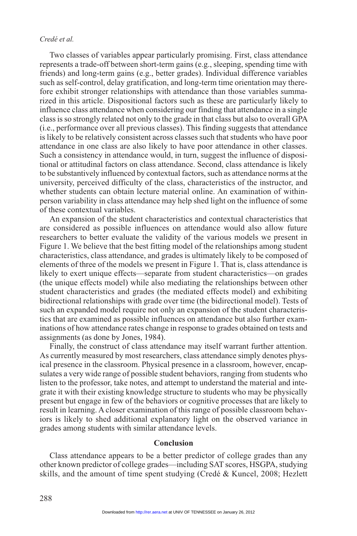#### *Credé et al.*

Two classes of variables appear particularly promising. First, class attendance represents a trade-off between short-term gains (e.g., sleeping, spending time with friends) and long-term gains (e.g., better grades). Individual difference variables such as self-control, delay gratification, and long-term time orientation may therefore exhibit stronger relationships with attendance than those variables summarized in this article. Dispositional factors such as these are particularly likely to influence class attendance when considering our finding that attendance in a single class is so strongly related not only to the grade in that class but also to overall GPA (i.e., performance over all previous classes). This finding suggests that attendance is likely to be relatively consistent across classes such that students who have poor attendance in one class are also likely to have poor attendance in other classes. Such a consistency in attendance would, in turn, suggest the influence of dispositional or attitudinal factors on class attendance. Second, class attendance is likely to be substantively influenced by contextual factors, such as attendance norms at the university, perceived difficulty of the class, characteristics of the instructor, and whether students can obtain lecture material online. An examination of withinperson variability in class attendance may help shed light on the influence of some of these contextual variables.

An expansion of the student characteristics and contextual characteristics that are considered as possible influences on attendance would also allow future researchers to better evaluate the validity of the various models we present in Figure 1. We believe that the best fitting model of the relationships among student characteristics, class attendance, and grades is ultimately likely to be composed of elements of three of the models we present in Figure 1. That is, class attendance is likely to exert unique effects—separate from student characteristics—on grades (the unique effects model) while also mediating the relationships between other student characteristics and grades (the mediated effects model) and exhibiting bidirectional relationships with grade over time (the bidirectional model). Tests of such an expanded model require not only an expansion of the student characteristics that are examined as possible influences on attendance but also further examinations of how attendance rates change in response to grades obtained on tests and assignments (as done by Jones, 1984).

Finally, the construct of class attendance may itself warrant further attention. As currently measured by most researchers, class attendance simply denotes physical presence in the classroom. Physical presence in a classroom, however, encapsulates a very wide range of possible student behaviors, ranging from students who listen to the professor, take notes, and attempt to understand the material and integrate it with their existing knowledge structure to students who may be physically present but engage in few of the behaviors or cognitive processes that are likely to result in learning. A closer examination of this range of possible classroom behaviors is likely to shed additional explanatory light on the observed variance in grades among students with similar attendance levels.

#### **Conclusion**

Class attendance appears to be a better predictor of college grades than any other known predictor of college grades—including SAT scores, HSGPA, studying skills, and the amount of time spent studying (Credé & Kuncel, 2008; Hezlett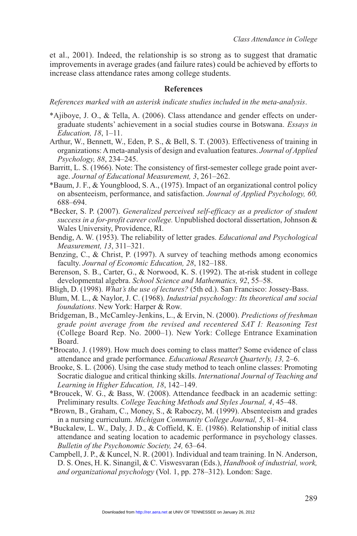et al., 2001). Indeed, the relationship is so strong as to suggest that dramatic improvements in average grades (and failure rates) could be achieved by efforts to increase class attendance rates among college students.

#### **References**

*References marked with an asterisk indicate studies included in the meta-analysis*.

- \*Ajiboye, J. O., & Tella, A. (2006). Class attendance and gender effects on undergraduate students' achievement in a social studies course in Botswana. *Essays in Education, 18*, 1–11.
- Arthur, W., Bennett, W., Eden, P. S., & Bell, S. T. (2003). Effectiveness of training in organizations: A meta-analysis of design and evaluation features. *Journal of Applied Psychology, 88*, 234–245.
- Barritt, L. S. (1966). Note: The consistency of first-semester college grade point average. *Journal of Educational Measurement, 3*, 261–262.
- \*Baum, J. F., & Youngblood, S. A., (1975). Impact of an organizational control policy on absenteeism, performance, and satisfaction. *Journal of Applied Psychology, 60,* 688–694.
- \*Becker, S. P. (2007). *Generalized perceived self-efficacy as a predictor of student success in a for-profit career college.* Unpublished doctoral dissertation, Johnson & Wales University, Providence, RI.
- Bendig, A. W. (1953). The reliability of letter grades. *Educational and Psychological Measurement, 13*, 311–321.
- Benzing, C., & Christ, P. (1997). A survey of teaching methods among economics faculty. *Journal of Economic Education, 28*, 182–188.
- Berenson, S. B., Carter, G., & Norwood, K. S. (1992). The at-risk student in college developmental algebra. *School Science and Mathematics, 92*, 55–58.
- Bligh, D. (1998). *What's the use of lectures?* (5th ed.). San Francisco: Jossey-Bass.
- Blum, M. L., & Naylor, J. C. (1968). *Industrial psychology: Its theoretical and social foundations*. New York: Harper & Row.
- Bridgeman, B., McCamley-Jenkins, L., & Ervin, N. (2000). *Predictions of freshman grade point average from the revised and recentered SAT I: Reasoning Test* (College Board Rep. No. 2000–1). New York: College Entrance Examination Board.
- \*Brocato, J. (1989). How much does coming to class matter? Some evidence of class attendance and grade performance. *Educational Research Quarterly, 13,* 2–6.
- Brooke, S. L. (2006). Using the case study method to teach online classes: Promoting Socratic dialogue and critical thinking skills. *International Journal of Teaching and Learning in Higher Education, 18*, 142–149.
- \*Broucek, W. G., & Bass, W. (2008). Attendance feedback in an academic setting: Preliminary results. *College Teaching Methods and Styles Journal, 4*, 45–48.
- \*Brown, B., Graham, C., Money, S., & Raboczy, M. (1999). Absenteeism and grades in a nursing curriculum. *Michigan Community College Journal, 5*, 81–84.
- \*Buckalew, L. W., Daly, J. D., & Coffield, K. E. (1986). Relationship of initial class attendance and seating location to academic performance in psychology classes. *Bulletin of the Psychonomic Society, 24,* 63–64.
- Campbell, J. P., & Kuncel, N. R. (2001). Individual and team training. In N. Anderson, D. S. Ones, H. K. Sinangil, & C. Viswesvaran (Eds.), *Handbook of industrial, work, and organizational psychology* (Vol. 1, pp. 278–312). London: Sage.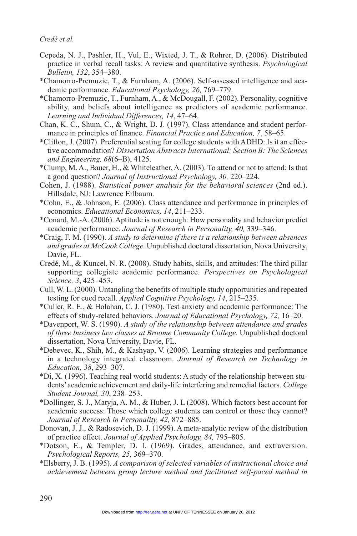- Cepeda, N. J., Pashler, H., Vul, E., Wixted, J. T., & Rohrer, D. (2006). Distributed practice in verbal recall tasks: A review and quantitative synthesis. *Psychological Bulletin, 132*, 354–380.
- \*Chamorro-Premuzic, T., & Furnham, A. (2006). Self-assessed intelligence and academic performance. *Educational Psychology, 26,* 769–779.
- \*Chamorro-Premuzic, T., Furnham, A., & McDougall, F. (2002). Personality, cognitive ability, and beliefs about intelligence as predictors of academic performance. *Learning and Individual Differences, 14*, 47–64.
- Chan, K. C., Shum, C., & Wright, D. J. (1997). Class attendance and student performance in principles of finance. *Financial Practice and Education, 7*, 58–65.
- \*Clifton, J. (2007). Preferential seating for college students with ADHD: Is it an effective accommodation? *Dissertation Abstracts International: Section B: The Sciences and Engineering, 68*(6–B), 4125.
- \*Clump, M. A., Bauer, H., & Whiteleather, A. (2003). To attend or not to attend: Is that a good question? *Journal of Instructional Psychology, 30,* 220–224.
- Cohen, J. (1988). *Statistical power analysis for the behavioral sciences* (2nd ed.). Hillsdale, NJ: Lawrence Erlbaum.
- \*Cohn, E., & Johnson, E. (2006). Class attendance and performance in principles of economics. *Educational Economics, 14*, 211–233.
- \*Conard, M.-A. (2006). Aptitude is not enough: How personality and behavior predict academic performance. *Journal of Research in Personality, 40,* 339–346.
- \*Craig, F. M. (1990). *A study to determine if there is a relationship between absences and grades at McCook College.* Unpublished doctoral dissertation, Nova University, Davie, FL.
- Credé, M., & Kuncel, N. R. (2008). Study habits, skills, and attitudes: The third pillar supporting collegiate academic performance. *Perspectives on Psychological Science, 3*, 425–453.
- Cull, W. L. (2000). Untangling the benefits of multiple study opportunities and repeated testing for cued recall. *Applied Cognitive Psychology, 14*, 215–235.
- \*Culler, R. E., & Holahan, C. J. (1980). Test anxiety and academic performance: The effects of study-related behaviors. *Journal of Educational Psychology, 72,* 16–20.
- \*Davenport, W. S. (1990). *A study of the relationship between attendance and grades of three business law classes at Broome Community College.* Unpublished doctoral dissertation, Nova University, Davie, FL.
- \*Debevec, K., Shih, M., & Kashyap, V. (2006). Learning strategies and performance in a technology integrated classroom. *Journal of Research on Technology in Education, 38*, 293–307.
- \*Di, X. (1996). Teaching real world students: A study of the relationship between students' academic achievement and daily-life interfering and remedial factors. *College Student Journal, 30*, 238–253.
- \*Dollinger, S. J., Matyja, A. M., & Huber, J. L (2008). Which factors best account for academic success: Those which college students can control or those they cannot? *Journal of Research in Personality, 42,* 872–885.
- Donovan, J. J., & Radosevich, D. J. (1999). A meta-analytic review of the distribution of practice effect. *Journal of Applied Psychology, 84,* 795–805.
- \*Dotson, E., & Templer, D. I. (1969). Grades, attendance, and extraversion. *Psychological Reports, 25,* 369–370.
- \*Elsberry, J. B. (1995). *A comparison of selected variables of instructional choice and achievement between group lecture method and facilitated self-paced method in*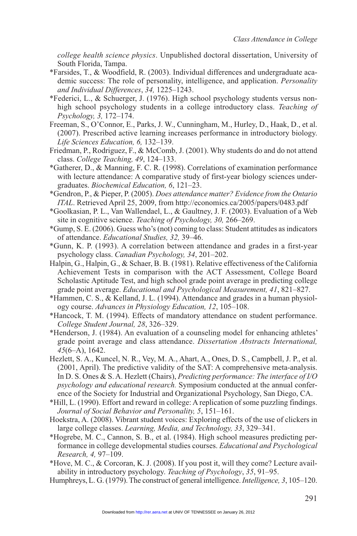*college health science physics*. Unpublished doctoral dissertation, University of South Florida, Tampa.

- \*Farsides, T., & Woodfield, R. (2003). Individual differences and undergraduate academic success: The role of personality, intelligence, and application. *Personality and Individual Differences*, *34,* 1225–1243.
- \*Federici, L., & Schuerger, J. (1976). High school psychology students versus nonhigh school psychology students in a college introductory class. *Teaching of Psychology, 3,* 172–174.
- Freeman, S., O'Connor, E., Parks, J. W., Cunningham, M., Hurley, D., Haak, D., et al. (2007). Prescribed active learning increases performance in introductory biology. *Life Sciences Education, 6,* 132–139.
- Friedman, P., Rodriguez, F., & McComb, J. (2001). Why students do and do not attend class. *College Teaching, 49*, 124–133.
- \*Gatherer, D., & Manning, F. C. R. (1998). Correlations of examination performance with lecture attendance: A comparative study of first-year biology sciences undergraduates. *Biochemical Education, 6*, 121–23.
- \*Gendron, P., & Pieper, P. (2005). *Does attendance matter? Evidence from the Ontario ITAL*. Retrieved April 25, 2009, from http://economics.ca/2005/papers/0483.pdf
- \*Goolkasian, P. L., Van Wallendael, L., & Gaultney, J. F. (2003). Evaluation of a Web site in cognitive science. *Teaching of Psychology, 30,* 266–269.
- \*Gump, S. E. (2006). Guess who's (not) coming to class: Student attitudes as indicators of attendance. *Educational Studies, 32,* 39–46.
- \*Gunn, K. P. (1993). A correlation between attendance and grades in a first-year psychology class. *Canadian Psychology, 34*, 201–202.
- Halpin, G., Halpin, G., & Schaer, B. B. (1981). Relative effectiveness of the California Achievement Tests in comparison with the ACT Assessment, College Board Scholastic Aptitude Test, and high school grade point average in predicting college grade point average. *Educational and Psychological Measurement, 41*, 821–827.
- \*Hammen, C. S., & Kelland, J. L. (1994). Attendance and grades in a human physiology course. *Advances in Physiology Education, 12*, 105–108.
- \*Hancock, T. M. (1994). Effects of mandatory attendance on student performance. *College Student Journal, 28*, 326–329.
- \*Henderson, J. (1984). An evaluation of a counseling model for enhancing athletes' grade point average and class attendance. *Dissertation Abstracts International, 45*(6–A), 1642.
- Hezlett, S. A., Kuncel, N. R., Vey, M. A., Ahart, A., Ones, D. S., Campbell, J. P., et al. (2001, April). The predictive validity of the SAT: A comprehensive meta-analysis. In D. S. Ones & S. A. Hezlett (Chairs), *Predicting performance: The interface of I/O psychology and educational research.* Symposium conducted at the annual conference of the Society for Industrial and Organizational Psychology, San Diego, CA.
- \*Hill, L. (1990). Effort and reward in college: A replication of some puzzling findings. *Journal of Social Behavior and Personality, 5*, 151–161.
- Hoekstra, A. (2008). Vibrant student voices: Exploring effects of the use of clickers in large college classes. *Learning, Media, and Technology, 33*, 329–341.
- \*Hogrebe, M. C., Cannon, S. B., et al. (1984). High school measures predicting performance in college developmental studies courses. *Educational and Psychological Research, 4,* 97–109.
- \*Hove, M. C., & Corcoran, K. J. (2008). If you post it, will they come? Lecture availability in introductory psychology. *Teaching of Psychology*, *35*, 91–95.
- Humphreys, L. G. (1979). The construct of general intelligence. *Intelligence, 3*, 105–120.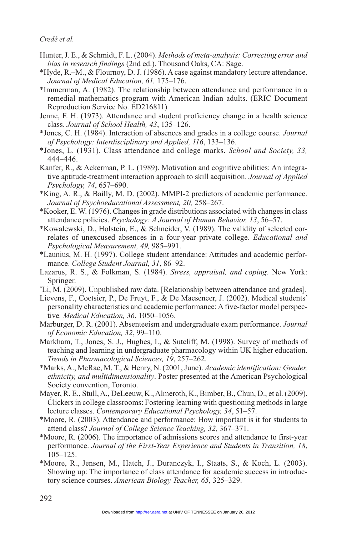- Hunter, J. E., & Schmidt, F. L. (2004). *Methods of meta-analysis: Correcting error and bias in research findings* (2nd ed.). Thousand Oaks, CA: Sage.
- \*Hyde, R.–M., & Flournoy, D. J. (1986). A case against mandatory lecture attendance. *Journal of Medical Education, 61,* 175–176.
- \*Immerman, A. (1982). The relationship between attendance and performance in a remedial mathematics program with American Indian adults. (ERIC Document Reproduction Service No. ED216811)
- Jenne, F. H. (1973). Attendance and student proficiency change in a health science class. *Journal of School Health, 43*, 135–126.
- \*Jones, C. H. (1984). Interaction of absences and grades in a college course. *Journal of Psychology: Interdisciplinary and Applied, 116*, 133–136.
- \*Jones, L. (1931). Class attendance and college marks. *School and Society, 33,*  444–446.
- Kanfer, R., & Ackerman, P. L. (1989). Motivation and cognitive abilities: An integrative aptitude-treatment interaction approach to skill acquisition. *Journal of Applied Psychology, 74*, 657–690.
- \*King, A. R., & Bailly, M. D. (2002). MMPI-2 predictors of academic performance. *Journal of Psychoeducational Assessment, 20,* 258–267.
- \*Kooker, E. W. (1976). Changes in grade distributions associated with changes in class attendance policies. *Psychology: A Journal of Human Behavior, 13*, 56–57.
- \*Kowalewski, D., Holstein, E., & Schneider, V. (1989). The validity of selected correlates of unexcused absences in a four-year private college. *Educational and Psychological Measurement, 49,* 985–991.
- \*Launius, M. H. (1997). College student attendance: Attitudes and academic performance. *College Student Journal, 31*, 86–92.
- Lazarus, R. S., & Folkman, S. (1984). *Stress, appraisal, and coping*. New York: Springer.
- \*Li, M. (2009). Unpublished raw data. [Relationship between attendance and grades].
- Lievens, F., Coetsier, P., De Fruyt, F., & De Maeseneer, J. (2002). Medical students' personality characteristics and academic performance: A five-factor model perspective*. Medical Education, 36*, 1050–1056.
- Marburger, D. R. (2001). Absenteeism and undergraduate exam performance. *Journal of Economic Education, 32*, 99–110.
- Markham, T., Jones, S. J., Hughes, I., & Sutcliff, M. (1998). Survey of methods of teaching and learning in undergraduate pharmacology within UK higher education. *Trends in Pharmacological Sciences, 19*, 257–262.
- \*Marks, A., McRae, M. T., & Henry, N. (2001, June). *Academic identification: Gender, ethnicity, and multidimensionality*. Poster presented at the American Psychological Society convention, Toronto.
- Mayer, R. E., Stull, A., DeLeeuw, K., Almeroth, K., Bimber, B., Chun, D., et al. (2009). Clickers in college classrooms: Fostering learning with questioning methods in large lecture classes. *Contemporary Educational Psychology, 34*, 51–57.
- \*Moore, R. (2003). Attendance and performance: How important is it for students to attend class? *Journal of College Science Teaching, 32,* 367–371.
- \*Moore, R. (2006). The importance of admissions scores and attendance to first-year performance. *Journal of the First-Year Experience and Students in Transition, 18*, 105–125.
- \*Moore, R., Jensen, M., Hatch, J., Duranczyk, I., Staats, S., & Koch, L. (2003). Showing up: The importance of class attendance for academic success in introductory science courses. *American Biology Teacher, 65*, 325–329.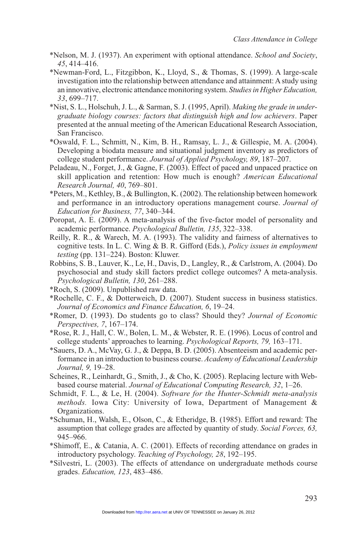- \*Nelson, M. J. (1937). An experiment with optional attendance. *School and Society*, *45*, 414–416.
- \*Newman-Ford, L., Fitzgibbon, K., Lloyd, S., & Thomas, S. (1999). A large-scale investigation into the relationship between attendance and attainment: A study using an innovative, electronic attendance monitoring system. *Studies in Higher Education, 33*, 699–717.
- \*Nist, S. L., Holschuh, J. L., & Sarman, S. J. (1995, April). *Making the grade in undergraduate biology courses: factors that distinguish high and low achievers*. Paper presented at the annual meeting of the American Educational Research Association, San Francisco.
- \*Oswald, F. L., Schmitt, N., Kim, B. H., Ramsay, L. J., & Gillespie, M. A. (2004). Developing a biodata measure and situational judgment inventory as predictors of college student performance. *Journal of Applied Psychology, 89*, 187–207.
- Peladeau, N., Forget, J., & Gagne, F. (2003). Effect of paced and unpaced practice on skill application and retention: How much is enough? *American Educational Research Journal, 40*, 769–801.
- \*Peters, M., Kethley, B., & Bullington, K. (2002). The relationship between homework and performance in an introductory operations management course. *Journal of Education for Business, 77*, 340–344.
- Poropat, A. E. (2009). A meta-analysis of the five-factor model of personality and academic performance. *Psychological Bulletin, 135*, 322–338.
- Reilly, R. R., & Warech, M. A. (1993). The validity and fairness of alternatives to cognitive tests. In L. C. Wing & B. R. Gifford (Eds.), *Policy issues in employment testing* (pp. 131–224). Boston: Kluwer.
- Robbins, S. B., Lauver, K., Le, H., Davis, D., Langley, R., & Carlstrom, A. (2004). Do psychosocial and study skill factors predict college outcomes? A meta-analysis. *Psychological Bulletin, 130*, 261–288.
- \*Roch, S. (2009). Unpublished raw data.
- \*Rochelle, C. F., & Dotterweich, D. (2007). Student success in business statistics. *Journal of Economics and Finance Education, 6*, 19–24.
- \*Romer, D. (1993). Do students go to class? Should they? *Journal of Economic Perspectives, 7*, 167–174.
- \*Rose, R. J., Hall, C. W., Bolen, L. M., & Webster, R. E. (1996). Locus of control and college students' approaches to learning. *Psychological Reports, 79,* 163–171.
- \*Sauers, D. A., McVay, G. J., & Deppa, B. D. (2005). Absenteeism and academic performance in an introduction to business course. *Academy of Educational Leadership Journal, 9,* 19–28.
- Scheines, R., Leinhardt, G., Smith, J., & Cho, K. (2005). Replacing lecture with Webbased course material. *Journal of Educational Computing Research, 32*, 1–26.
- Schmidt, F. L., & Le, H. (2004). *Software for the Hunter-Schmidt meta-analysis methods.* Iowa City: University of Iowa, Department of Management & Organizations.
- \*Schuman, H., Walsh, E., Olson, C., & Etheridge, B. (1985). Effort and reward: The assumption that college grades are affected by quantity of study. *Social Forces, 63,* 945–966.
- \*Shimoff, E., & Catania, A. C. (2001). Effects of recording attendance on grades in introductory psychology. *Teaching of Psychology, 28*, 192–195.
- \*Silvestri, L. (2003). The effects of attendance on undergraduate methods course grades. *Education, 123*, 483–486.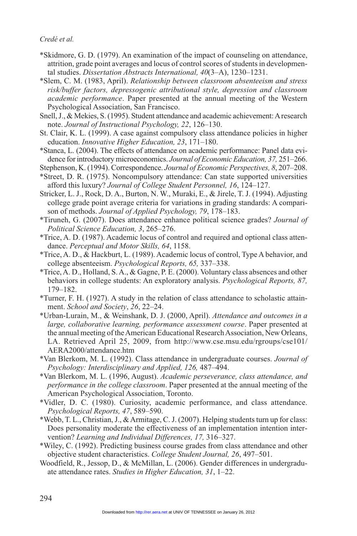#### *Credé et al.*

- \*Skidmore, G. D. (1979). An examination of the impact of counseling on attendance, attrition, grade point averages and locus of control scores of students in developmental studies. *Dissertation Abstracts International, 40*(3–A), 1230–1231.
- \*Slem, C. M. (1983, April). *Relationship between classroom absenteeism and stress risk/buffer factors, depressogenic attributional style, depression and classroom academic performance*. Paper presented at the annual meeting of the Western Psychological Association, San Francisco.
- Snell, J., & Mekies, S. (1995). Student attendance and academic achievement: A research note. *Journal of Instructional Psychology, 22*, 126–130.
- St. Clair, K. L. (1999). A case against compulsory class attendance policies in higher education. *Innovative Higher Education, 23*, 171–180.
- \*Stanca, L. (2004). The effects of attendance on academic performance: Panel data evidence for introductory microeconomics. *Journal of Economic Education, 37,* 251–266.
- Stephenson, K. (1994). Correspondence. *Journal of Economic Perspectives, 8*, 207–208.
- \*Street, D. R. (1975). Noncompulsory attendance: Can state supported universities afford this luxury? *Journal of College Student Personnel, 16*, 124–127.
- Stricker, L. J., Rock, D. A., Burton, N. W., Muraki, E., & Jirele, T. J. (1994). Adjusting college grade point average criteria for variations in grading standards: A comparison of methods. *Journal of Applied Psychology, 79*, 178–183.
- \*Tiruneh, G. (2007). Does attendance enhance political science grades? *Journal of Political Science Education, 3*, 265–276.
- \*Trice, A. D. (1987). Academic locus of control and required and optional class attendance. *Perceptual and Motor Skills, 64*, 1158.
- \*Trice, A. D., & Hackburt, L. (1989). Academic locus of control, Type A behavior, and college absenteeism. *Psychological Reports, 65,* 337–338.
- \*Trice, A. D., Holland, S. A., & Gagne, P. E. (2000). Voluntary class absences and other behaviors in college students: An exploratory analysis. *Psychological Reports, 87,* 179–182.
- \*Turner, F. H. (1927). A study in the relation of class attendance to scholastic attainment. *School and Society*, *26*, 22–24.
- \*Urban-Lurain, M., & Weinshank, D. J. (2000, April). *Attendance and outcomes in a large, collaborative learning, performance assessment course*. Paper presented at the annual meeting of the American Educational Research Association, New Orleans, LA. Retrieved April 25, 2009, from http://www.cse.msu.edu/rgroups/cse101/ AERA2000/attendance.htm
- \*Van Blerkom, M. L. (1992). Class attendance in undergraduate courses. *Journal of Psychology: Interdisciplinary and Applied, 126,* 487–494.
- \*Van Blerkom, M. L. (1996, August). *Academic perseverance, class attendance, and performance in the college classroom*. Paper presented at the annual meeting of the American Psychological Association, Toronto.
- \*Vidler, D. C. (1980). Curiosity, academic performance, and class attendance. *Psychological Reports, 47*, 589–590.
- \*Webb, T. L., Christian, J., & Armitage, C. J. (2007). Helping students turn up for class: Does personality moderate the effectiveness of an implementation intention intervention? *Learning and Individual Differences, 17,* 316–327.
- \*Wiley, C. (1992). Predicting business course grades from class attendance and other objective student characteristics. *College Student Journal, 26*, 497–501.
- Woodfield, R., Jessop, D., & McMillan, L. (2006). Gender differences in undergraduate attendance rates. *Studies in Higher Education, 31*, 1–22.